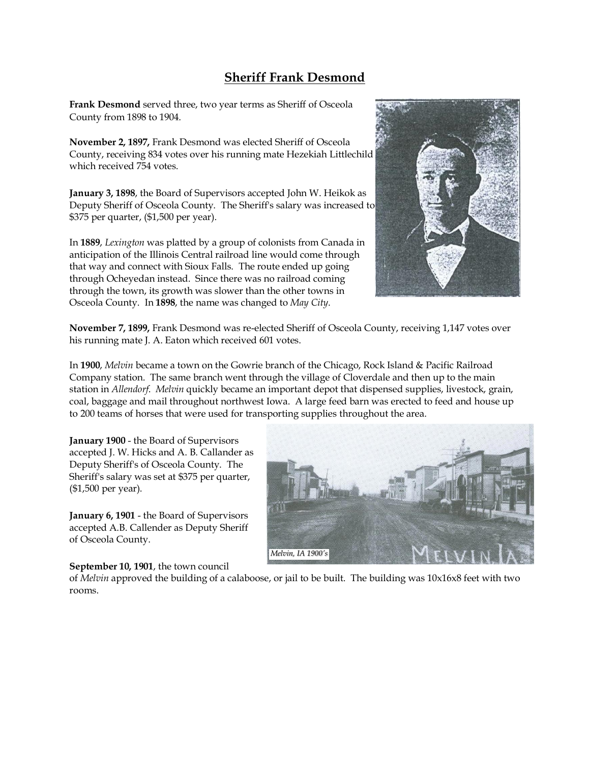## **Sheriff Frank Desmond**

**Frank Desmond** served three, two year terms as Sheriff of Osceola County from 1898 to 1904.

**November 2, 1897,** Frank Desmond was elected Sheriff of Osceola County, receiving 834 votes over his running mate Hezekiah Littlechild which received 754 votes.

**January 3, 1898**, the Board of Supervisors accepted John W. Heikok as Deputy Sheriff of Osceola County. The Sheriff's salary was increased to \$375 per quarter, (\$1,500 per year).

In **1889**, *Lexington* was platted by a group of colonists from Canada in anticipation of the Illinois Central railroad line would come through that way and connect with Sioux Falls. The route ended up going through Ocheyedan instead. Since there was no railroad coming through the town, its growth was slower than the other towns in Osceola County. In **1898**, the name was changed to *May City*.



**November 7, 1899,** Frank Desmond was re-elected Sheriff of Osceola County, receiving 1,147 votes over his running mate J. A. Eaton which received 601 votes.

In **1900**, *Melvin* became a town on the Gowrie branch of the Chicago, Rock Island & Pacific Railroad Company station. The same branch went through the village of Cloverdale and then up to the main station in *Allendorf*. *Melvin* quickly became an important depot that dispensed supplies, livestock, grain, coal, baggage and mail throughout northwest Iowa. A large feed barn was erected to feed and house up to 200 teams of horses that were used for transporting supplies throughout the area.

**January 1900** - the Board of Supervisors accepted J. W. Hicks and A. B. Callander as Deputy Sheriff's of Osceola County. The Sheriff's salary was set at \$375 per quarter, (\$1,500 per year).

**January 6, 1901** - the Board of Supervisors accepted A.B. Callender as Deputy Sheriff of Osceola County.

## **September 10, 1901**, the town council

of *Melvin* approved the building of a calaboose, or jail to be built. The building was 10x16x8 feet with two rooms.